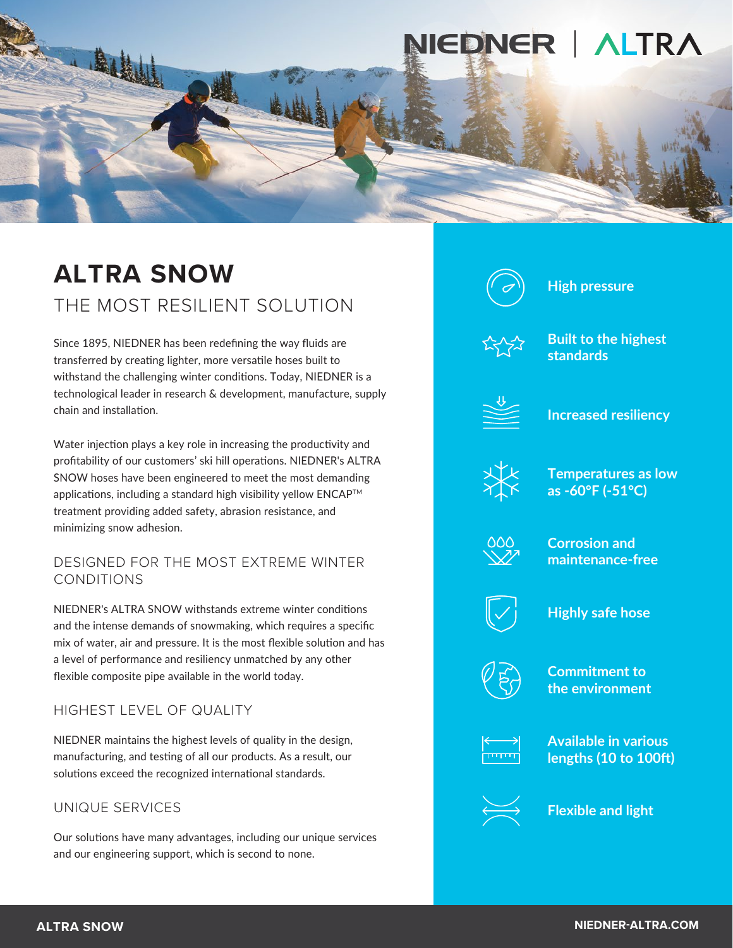

# **ALTRA SNOW** THE MOST RESILIENT SOLUTION

Since 1895, NIEDNER has been redefining the way fluids are transferred by creating lighter, more versatile hoses built to withstand the challenging winter conditions. Today, NIEDNER is a technological leader in research & development, manufacture, supply chain and installation.

Water injection plays a key role in increasing the productivity and profitability of our customers' ski hill operations. NIEDNER's ALTRA SNOW hoses have been engineered to meet the most demanding applications, including a standard high visibility yellow ENCAP™ treatment providing added safety, abrasion resistance, and minimizing snow adhesion.

#### DESIGNED FOR THE MOST EXTREME WINTER CONDITIONS

NIEDNER's ALTRA SNOW withstands extreme winter conditions and the intense demands of snowmaking, which requires a specific mix of water, air and pressure. It is the most flexible solution and has a level of performance and resiliency unmatched by any other flexible composite pipe available in the world today.

HIGHEST LEVEL OF QUALITY

NIEDNER maintains the highest levels of quality in the design, manufacturing, and testing of all our products. As a result, our solutions exceed the recognized international standards.

# UNIQUE SERVICES

Our solutions have many advantages, including our unique services and our engineering support, which is second to none.



**High pressure**



**Built to the highest standards**



**Increased resiliency**



**Temperatures as low as -60°F (-51°C)**



**Corrosion and maintenance-free**



**Highly safe hose**



**Commitment to the environment**



**Available in various lengths (10 to 100ft)** 



**Flexible and light**